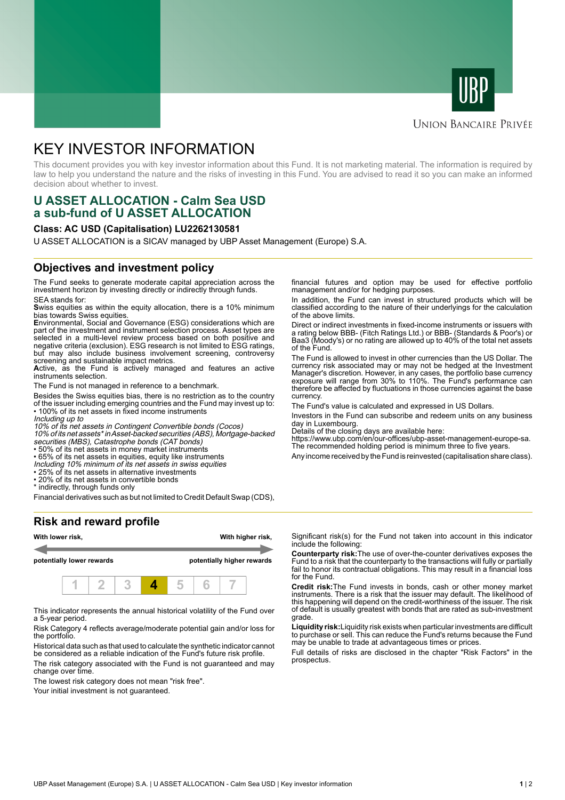



# **UNION BANCAIRE PRIVÉE**

# KEY INVESTOR INFORMATION

This document provides you with key investor information about this Fund. It is not marketing material. The information is required by law to help you understand the nature and the risks of investing in this Fund. You are advised to read it so you can make an informed decision about whether to invest.

# **U ASSET ALLOCATION - Calm Sea USD a sub-fund of U ASSET ALLOCATION**

### **Class: AC USD (Capitalisation) LU2262130581**

U ASSET ALLOCATION is a SICAV managed by UBP Asset Management (Europe) S.A.

### **Objectives and investment policy**

The Fund seeks to generate moderate capital appreciation across the investment horizon by investing directly or indirectly through funds. SEA stands for:

**S**wiss equities as within the equity allocation, there is a 10% minimum bias towards Swiss equities.

**E**nvironmental, Social and Governance (ESG) considerations which are part of the investment and instrument selection process. Asset types are selected in a multi-level review process based on both positive and negative criteria (exclusion). ESG research is not limited to ESG ratings, but may also include business involvement screening, controversy screening and sustainable impact metrics.

Active, as the Fund is actively managed and features an active instruments selection.

The Fund is not managed in reference to a benchmark.

Besides the Swiss equities bias, there is no restriction as to the country of the issuer including emerging countries and the Fund may invest up to: • 100% of its net assets in fixed income instruments

Including up to

10% of its net assets in Contingent Convertible bonds (Cocos)

10% of its net assets\* in Asset-backed securities (ABS), Mortgage-backed securities (MBS), Catastrophe bonds (CAT bonds)

• 50% of its net assets in money market instruments

• 65% of its net assets in equities, equity like instruments

Including 10% minimum of its net assets in swiss equities • 25% of its net assets in alternative investments

• 20% of its net assets in convertible bonds \* indirectly, through funds only

Financial derivatives such as but not limited to Credit Default Swap (CDS),

**Risk and reward profile**



This indicator represents the annual historical volatility of the Fund over a 5-year period.

Risk Category 4 reflects average/moderate potential gain and/or loss for the portfolio.

Historical data such as that used to calculate the synthetic indicator cannot be considered as a reliable indication of the Fund's future risk profile.

The risk category associated with the Fund is not guaranteed and may change over time.

The lowest risk category does not mean "risk free".

Your initial investment is not guaranteed.

financial futures and option may be used for effective portfolio management and/or for hedging purposes.

In addition, the Fund can invest in structured products which will be classified according to the nature of their underlyings for the calculation of the above limits.

Direct or indirect investments in fixed-income instruments or issuers with a rating below BBB- (Fitch Ratings Ltd.) or BBB- (Standards & Poor's) or Baa3 (Moody's) or no rating are allowed up to 40% of the total net assets of the Fund.

The Fund is allowed to invest in other currencies than the US Dollar. The currency risk associated may or may not be hedged at the Investment Manager's discretion. However, in any cases, the portfolio base currency exposure will range from 30% to 110%. The Fund's performance can therefore be affected by fluctuations in those currencies against the base currency.

The Fund's value is calculated and expressed in US Dollars.

Investors in the Fund can subscribe and redeem units on any business day in Luxembourg.

Details of the closing days are available here:

https://www.ubp.com/en/our-offices/ubp-asset-management-europe-sa. The recommended holding period is minimum three to five years.

Any income received by the Fund is reinvested (capitalisation share class).

Significant risk(s) for the Fund not taken into account in this indicator include the following:

**Counterparty risk:**The use of over-the-counter derivatives exposes the Fund to a risk that the counterparty to the transactions will fully or partially fail to honor its contractual obligations. This may result in a financial loss for the Fund.

**Credit risk:**The Fund invests in bonds, cash or other money market instruments. There is a risk that the issuer may default. The likelihood of this happening will depend on the credit-worthiness of the issuer. The risk of default is usually greatest with bonds that are rated as sub-investment grade.

**Liquidity risk:**Liquidity risk exists when particular investments are difficult to purchase or sell. This can reduce the Fund's returns because the Fund may be unable to trade at advantageous times or prices.

Full details of risks are disclosed in the chapter "Risk Factors" in the prospectus.